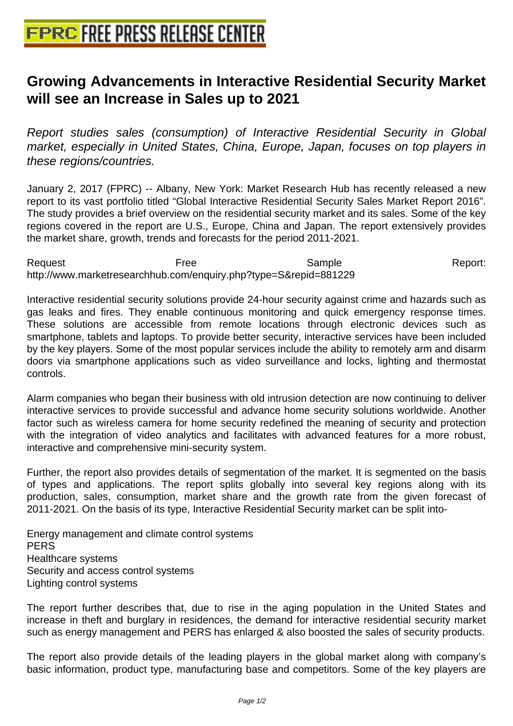## **[Growing Advancements in Interact](http://www.free-press-release-center.info)ive Residential Security Market will see an Increase in Sales up to 2021**

Report studies sales (consumption) of Interactive Residential Security in Global market, especially in United States, China, Europe, Japan, focuses on top players in these regions/countries.

January 2, 2017 (FPRC) -- Albany, New York: Market Research Hub has recently released a new report to its vast portfolio titled "Global Interactive Residential Security Sales Market Report 2016". The study provides a brief overview on the residential security market and its sales. Some of the key regions covered in the report are U.S., Europe, China and Japan. The report extensively provides the market share, growth, trends and forecasts for the period 2011-2021.

Request **Free** Free Sample Sample Report: http://www.marketresearchhub.com/enquiry.php?type=S&repid=881229

Interactive residential security solutions provide 24-hour security against crime and hazards such as gas leaks and fires. They enable continuous monitoring and quick emergency response times. These solutions are accessible from remote locations through electronic devices such as smartphone, tablets and laptops. To provide better security, interactive services have been included by the key players. Some of the most popular services include the ability to remotely arm and disarm doors via smartphone applications such as video surveillance and locks, lighting and thermostat controls.

Alarm companies who began their business with old intrusion detection are now continuing to deliver interactive services to provide successful and advance home security solutions worldwide. Another factor such as wireless camera for home security redefined the meaning of security and protection with the integration of video analytics and facilitates with advanced features for a more robust, interactive and comprehensive mini-security system.

Further, the report also provides details of segmentation of the market. It is segmented on the basis of types and applications. The report splits globally into several key regions along with its production, sales, consumption, market share and the growth rate from the given forecast of 2011-2021. On the basis of its type, Interactive Residential Security market can be split into-

Energy management and climate control systems **PERS** Healthcare systems Security and access control systems Lighting control systems

The report further describes that, due to rise in the aging population in the United States and increase in theft and burglary in residences, the demand for interactive residential security market such as energy management and PERS has enlarged & also boosted the sales of security products.

The report also provide details of the leading players in the global market along with company's basic information, product type, manufacturing base and competitors. Some of the key players are